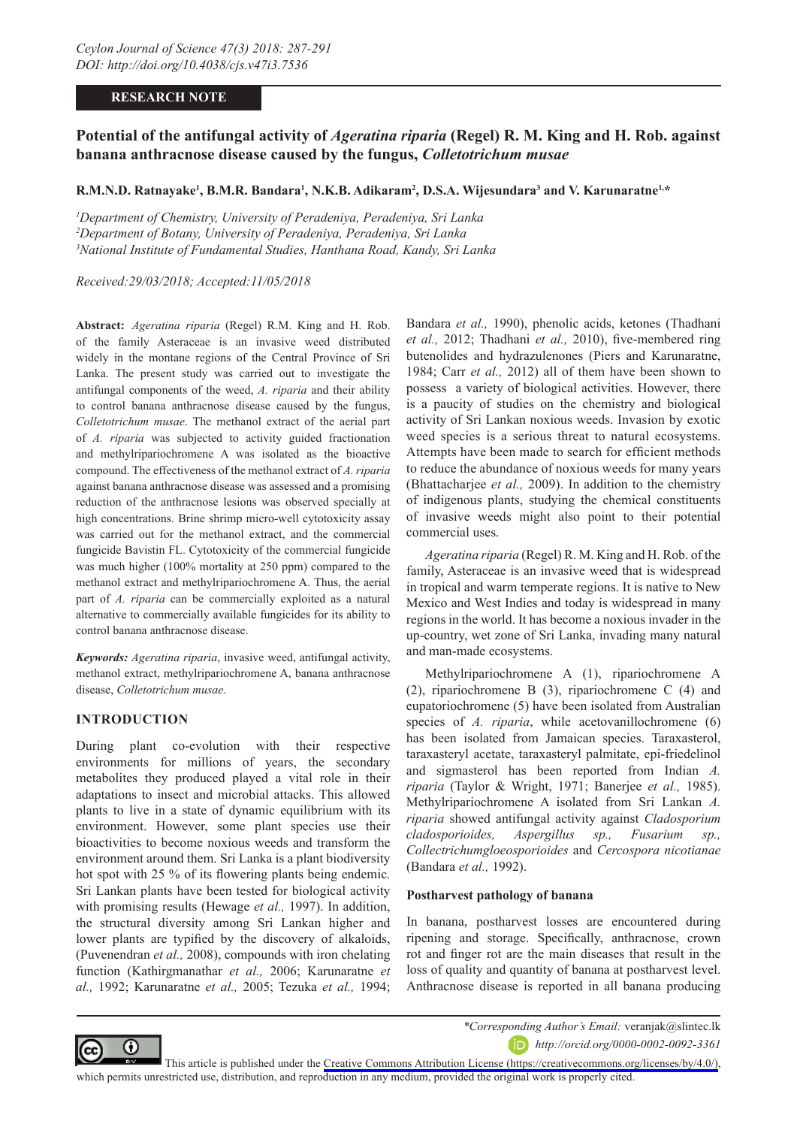# **RESEARCH NOTE**

# **Potential of the antifungal activity of** *Ageratina riparia* **(Regel) R. M. King and H. Rob. against banana anthracnose disease caused by the fungus,** *Colletotrichum musae*

# **R.M.N.D. Ratnayake', B.M.R. Bandara', N.K.B. Adikaram<sup>2</sup>, D.S.A. Wijesundara<sup>3</sup> and V. Karunaratne<sup>1,\*</sup>**

*1 Department of Chemistry, University of Peradeniya, Peradeniya, Sri Lanka 2 Department of Botany, University of Peradeniya, Peradeniya, Sri Lanka 3 National Institute of Fundamental Studies, Hanthana Road, Kandy, Sri Lanka*

*Received:29/03/2018; Accepted:11/05/2018*

**Abstract:** *Ageratina riparia* (Regel) R.M. King and H. Rob. of the family Asteraceae is an invasive weed distributed widely in the montane regions of the Central Province of Sri Lanka. The present study was carried out to investigate the antifungal components of the weed, *A. riparia* and their ability to control banana anthracnose disease caused by the fungus, *Colletotrichum musae*. The methanol extract of the aerial part of *A. riparia* was subjected to activity guided fractionation and methylripariochromene A was isolated as the bioactive compound. The effectiveness of the methanol extract of *A. riparia* against banana anthracnose disease was assessed and a promising reduction of the anthracnose lesions was observed specially at high concentrations. Brine shrimp micro-well cytotoxicity assay was carried out for the methanol extract, and the commercial fungicide Bavistin FL. Cytotoxicity of the commercial fungicide was much higher (100% mortality at 250 ppm) compared to the methanol extract and methylripariochromene A. Thus, the aerial part of *A. riparia* can be commercially exploited as a natural alternative to commercially available fungicides for its ability to control banana anthracnose disease.

*Keywords: Ageratina riparia*, invasive weed, antifungal activity, methanol extract, methylripariochromene A, banana anthracnose disease, *Colletotrichum musae*.

# **INTRODUCTION**

During plant co-evolution with their respective environments for millions of years, the secondary metabolites they produced played a vital role in their adaptations to insect and microbial attacks. This allowed plants to live in a state of dynamic equilibrium with its environment. However, some plant species use their bioactivities to become noxious weeds and transform the environment around them. Sri Lanka is a plant biodiversity hot spot with 25 % of its flowering plants being endemic. Sri Lankan plants have been tested for biological activity with promising results (Hewage *et al.,* 1997). In addition, the structural diversity among Sri Lankan higher and lower plants are typified by the discovery of alkaloids, (Puvenendran *et al.,* 2008), compounds with iron chelating function (Kathirgmanathar *et al.,* 2006; Karunaratne *et al.,* 1992; Karunaratne *et al.,* 2005; Tezuka *et al.,* 1994;

Bandara *et al.,* 1990), phenolic acids, ketones (Thadhani *et al.,* 2012; Thadhani *et al.,* 2010), five-membered ring butenolides and hydrazulenones (Piers and Karunaratne, 1984; Carr *et al.,* 2012) all of them have been shown to possess a variety of biological activities. However, there is a paucity of studies on the chemistry and biological activity of Sri Lankan noxious weeds. Invasion by exotic weed species is a serious threat to natural ecosystems. Attempts have been made to search for efficient methods to reduce the abundance of noxious weeds for many years (Bhattacharjee *et al.,* 2009). In addition to the chemistry of indigenous plants, studying the chemical constituents of invasive weeds might also point to their potential commercial uses.

*Ageratina riparia* (Regel) R. M. King and H. Rob. of the family, Asteraceae is an invasive weed that is widespread in tropical and warm temperate regions. It is native to New Mexico and West Indies and today is widespread in many regions in the world. It has become a noxious invader in the up-country, wet zone of Sri Lanka, invading many natural and man-made ecosystems.

Methylripariochromene A (1), ripariochromene A (2), ripariochromene B (3), ripariochromene C (4) and eupatoriochromene (5) have been isolated from Australian species of *A. riparia*, while acetovanillochromene (6) has been isolated from Jamaican species. Taraxasterol, taraxasteryl acetate, taraxasteryl palmitate, epi-friedelinol and sigmasterol has been reported from Indian *A. riparia* (Taylor & Wright, 1971; Banerjee *et al.,* 1985). Methylripariochromene A isolated from Sri Lankan *A. riparia* showed antifungal activity against *Cladosporium cladosporioides, Aspergillus sp., Fusarium sp., Collectrichumgloeosporioides* and *Cercospora nicotianae* (Bandara *et al.,* 1992).

### **Postharvest pathology of banana**

In banana, postharvest losses are encountered during ripening and storage. Specifically, anthracnose, crown rot and finger rot are the main diseases that result in the loss of quality and quantity of banana at postharvest level. Anthracnose disease is reported in all banana producing



*\*Corresponding Author's Email:* veranjak@slintec.lk

*http://orcid.org/0000-0002-0092-3361*

This article is published under the [Creative Commons Attribution License \(https://creativecommons.org/licenses/by/4.0/\)](https://creativecommons.org/licenses/by/4.0/), which permits unrestricted use, distribution, and reproduction in any medium, provided the original work is properly cited.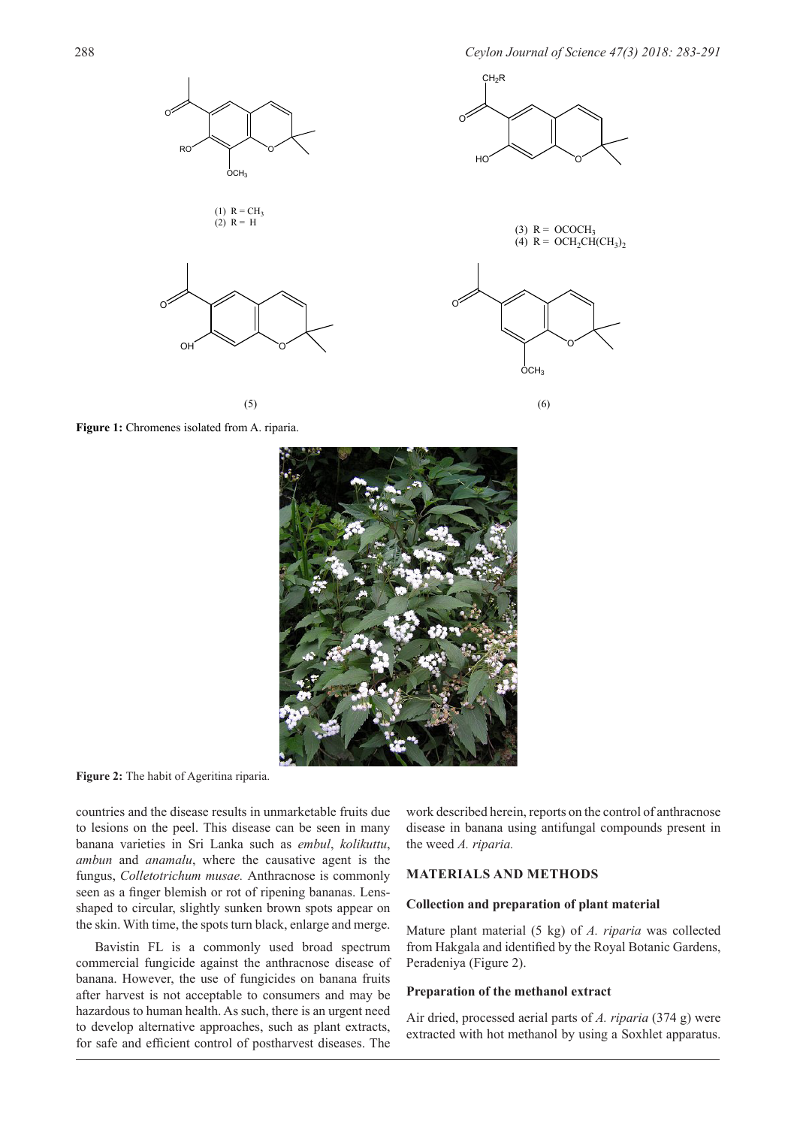

Figure 1: Chromenes isolated from A. riparia.



**Figure 2:** The habit of Ageritina riparia.

countries and the disease results in unmarketable fruits due to lesions on the peel. This disease can be seen in many banana varieties in Sri Lanka such as *embul*, *kolikuttu*, *ambun* and *anamalu*, where the causative agent is the fungus, *Colletotrichum musae.* Anthracnose is commonly seen as a finger blemish or rot of ripening bananas. Lensshaped to circular, slightly sunken brown spots appear on the skin. With time, the spots turn black, enlarge and merge.

Bavistin FL is a commonly used broad spectrum commercial fungicide against the anthracnose disease of banana. However, the use of fungicides on banana fruits after harvest is not acceptable to consumers and may be hazardous to human health. As such, there is an urgent need to develop alternative approaches, such as plant extracts, for safe and efficient control of postharvest diseases. The

work described herein, reports on the control of anthracnose disease in banana using antifungal compounds present in the weed *A. riparia.*

### **MATERIALS AND METHODS**

### **Collection and preparation of plant material**

Mature plant material (5 kg) of *A. riparia* was collected from Hakgala and identified by the Royal Botanic Gardens, Peradeniya (Figure 2).

#### **Preparation of the methanol extract**

Air dried, processed aerial parts of *A. riparia* (374 g) were extracted with hot methanol by using a Soxhlet apparatus.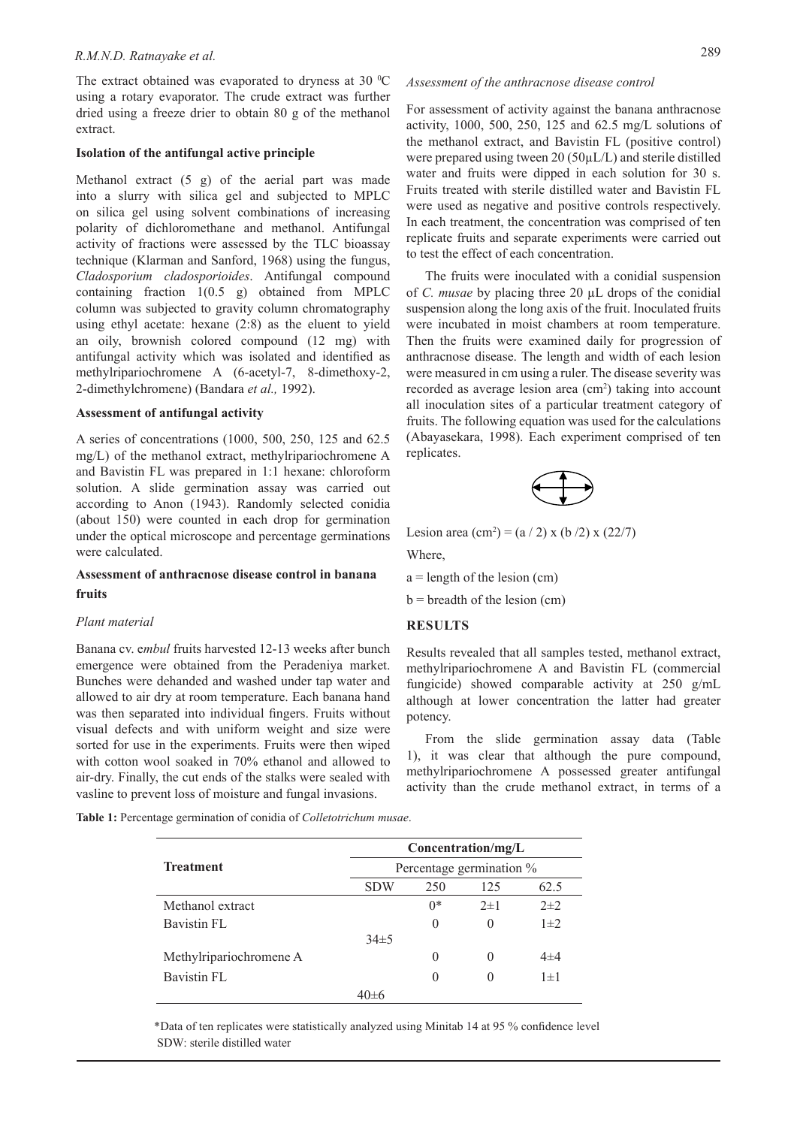The extract obtained was evaporated to dryness at 30  $\mathrm{^0C}$ using a rotary evaporator. The crude extract was further dried using a freeze drier to obtain 80 g of the methanol extract.

### **Isolation of the antifungal active principle**

Methanol extract (5 g) of the aerial part was made into a slurry with silica gel and subjected to MPLC on silica gel using solvent combinations of increasing polarity of dichloromethane and methanol. Antifungal activity of fractions were assessed by the TLC bioassay technique (Klarman and Sanford, 1968) using the fungus, *Cladosporium cladosporioides*. Antifungal compound containing fraction 1(0.5 g) obtained from MPLC column was subjected to gravity column chromatography using ethyl acetate: hexane (2:8) as the eluent to yield an oily, brownish colored compound (12 mg) with antifungal activity which was isolated and identified as methylripariochromene A (6-acetyl-7, 8-dimethoxy-2, 2-dimethylchromene) (Bandara *et al.,* 1992).

#### **Assessment of antifungal activity**

A series of concentrations (1000, 500, 250, 125 and 62.5 mg/L) of the methanol extract, methylripariochromene A and Bavistin FL was prepared in 1:1 hexane: chloroform solution. A slide germination assay was carried out according to Anon (1943). Randomly selected conidia (about 150) were counted in each drop for germination under the optical microscope and percentage germinations were calculated.

# **Assessment of anthracnose disease control in banana fruits**

### *Plant material*

Banana cv. e*mbul* fruits harvested 12-13 weeks after bunch emergence were obtained from the Peradeniya market. Bunches were dehanded and washed under tap water and allowed to air dry at room temperature. Each banana hand was then separated into individual fingers. Fruits without visual defects and with uniform weight and size were sorted for use in the experiments. Fruits were then wiped with cotton wool soaked in 70% ethanol and allowed to air-dry. Finally, the cut ends of the stalks were sealed with vasline to prevent loss of moisture and fungal invasions.

For assessment of activity against the banana anthracnose activity, 1000, 500, 250, 125 and 62.5 mg/L solutions of the methanol extract, and Bavistin FL (positive control) were prepared using tween 20 (50µL/L) and sterile distilled water and fruits were dipped in each solution for 30 s. Fruits treated with sterile distilled water and Bavistin FL were used as negative and positive controls respectively. In each treatment, the concentration was comprised of ten replicate fruits and separate experiments were carried out to test the effect of each concentration.

The fruits were inoculated with a conidial suspension of *C. musae* by placing three 20 µL drops of the conidial suspension along the long axis of the fruit. Inoculated fruits were incubated in moist chambers at room temperature. Then the fruits were examined daily for progression of anthracnose disease. The length and width of each lesion were measured in cm using a ruler. The disease severity was recorded as average lesion area (cm<sup>2</sup>) taking into account all inoculation sites of a particular treatment category of fruits. The following equation was used for the calculations (Abayasekara, 1998). Each experiment comprised of ten replicates.



Lesion area (cm<sup>2</sup>) = (a / 2) x (b /2) x (22/7)

Where,

 $a =$  length of the lesion (cm)

 $b =$  breadth of the lesion (cm)

#### **RESULTS**

Results revealed that all samples tested, methanol extract, methylripariochromene A and Bavistin FL (commercial fungicide) showed comparable activity at 250 g/mL although at lower concentration the latter had greater potency.

From the slide germination assay data (Table 1), it was clear that although the pure compound, methylripariochromene A possessed greater antifungal activity than the crude methanol extract, in terms of a

**Table 1:** Percentage germination of conidia of *Colletotrichum musae*.

|                         | Concentration/mg/L       |          |          |         |  |
|-------------------------|--------------------------|----------|----------|---------|--|
| <b>Treatment</b>        | Percentage germination % |          |          |         |  |
|                         | <b>SDW</b>               | 250      | 125      | 62.5    |  |
| Methanol extract        |                          | $0*$     | $2\pm1$  | $2\pm2$ |  |
| Bavistin FL             |                          | $\theta$ | 0        | $1\pm2$ |  |
|                         | $34\pm5$                 |          |          |         |  |
| Methylripariochromene A |                          | 0        | $\theta$ | $4\pm4$ |  |
| Bavistin FL             |                          | 0        | $\theta$ | $1\pm1$ |  |
|                         | 40±6                     |          |          |         |  |

 \*Data of ten replicates were statistically analyzed using Minitab 14 at 95 % confidence level SDW: sterile distilled water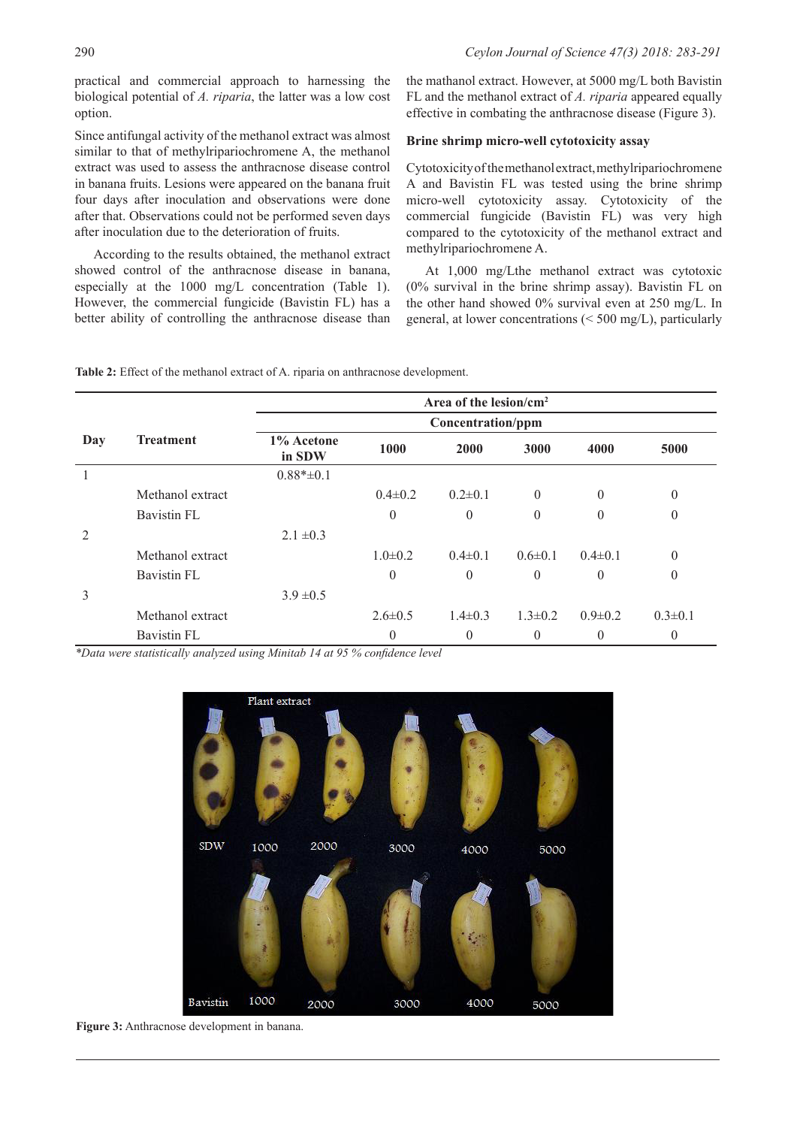practical and commercial approach to harnessing the biological potential of *A. riparia*, the latter was a low cost option.

Since antifungal activity of the methanol extract was almost similar to that of methylripariochromene A, the methanol extract was used to assess the anthracnose disease control in banana fruits. Lesions were appeared on the banana fruit four days after inoculation and observations were done after that. Observations could not be performed seven days after inoculation due to the deterioration of fruits.

According to the results obtained, the methanol extract showed control of the anthracnose disease in banana, especially at the 1000 mg/L concentration (Table 1). However, the commercial fungicide (Bavistin FL) has a better ability of controlling the anthracnose disease than the mathanol extract. However, at 5000 mg/L both Bavistin FL and the methanol extract of *A. riparia* appeared equally effective in combating the anthracnose disease (Figure 3).

## **Brine shrimp micro-well cytotoxicity assay**

Cytotoxicity of the methanol extract, methylripariochromene A and Bavistin FL was tested using the brine shrimp micro-well cytotoxicity assay. Cytotoxicity of the commercial fungicide (Bavistin FL) was very high compared to the cytotoxicity of the methanol extract and methylripariochromene A.

At 1,000 mg/Lthe methanol extract was cytotoxic (0% survival in the brine shrimp assay). Bavistin FL on the other hand showed 0% survival even at 250 mg/L. In general, at lower concentrations (< 500 mg/L), particularly

**Table 2:** Effect of the methanol extract of A. riparia on anthracnose development.

|     |                  | Area of the lesion/cm <sup>2</sup> |               |                |               |               |                |  |  |
|-----|------------------|------------------------------------|---------------|----------------|---------------|---------------|----------------|--|--|
|     |                  | Concentration/ppm                  |               |                |               |               |                |  |  |
| Day | <b>Treatment</b> | 1% Acetone<br>in SDW               | 1000          | 2000           | 3000          | 4000          | 5000           |  |  |
|     |                  | $0.88* \pm 0.1$                    |               |                |               |               |                |  |  |
|     | Methanol extract |                                    | $0.4\pm 0.2$  | $0.2\pm 0.1$   | $\theta$      | $\theta$      | $\theta$       |  |  |
|     | Bavistin FL      |                                    | $\mathbf{0}$  | $\theta$       | $\theta$      | $\theta$      | $\theta$       |  |  |
| 2   |                  | $2.1 \pm 0.3$                      |               |                |               |               |                |  |  |
|     | Methanol extract |                                    | $1.0\pm0.2$   | $0.4\pm 0.1$   | $0.6 \pm 0.1$ | $0.4 \pm 0.1$ | $\theta$       |  |  |
|     | Bavistin FL      |                                    | $\mathbf{0}$  | $\theta$       | $\theta$      | $\theta$      | $\theta$       |  |  |
| 3   |                  | $3.9 \pm 0.5$                      |               |                |               |               |                |  |  |
|     | Methanol extract |                                    | $2.6 \pm 0.5$ | $1.4\pm 0.3$   | $1.3 \pm 0.2$ | $0.9 \pm 0.2$ | $0.3 \pm 0.1$  |  |  |
|     | Bavistin FL      |                                    | $\theta$      | $\overline{0}$ | $\mathbf{0}$  | 0             | $\overline{0}$ |  |  |

*\*Data were statistically analyzed using Minitab 14 at 95 % confidence level*



**Figure 3:** Anthracnose development in banana.